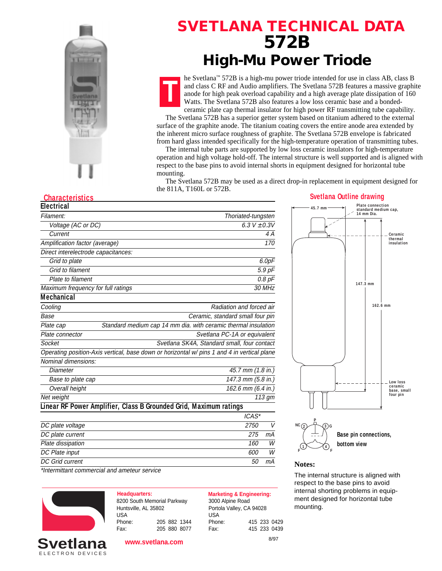

## **SVETLANA TECHNICAL DATA 572B High-Mu Power Triode**



he Svetlana™ 572B is a high-mu power triode intended for use in class AB, class B and class C RF and Audio amplifiers. The Svetlana 572B features a massive graphite anode for high peak overload capability and a high average plate dissipation of 160 Watts. The Svetlana 572B also features a low loss ceramic base and a bondedceramic plate cap thermal insulator for high power RF transmitting tube capability.

 The Svetlana 572B has a superior getter system based on titanium adhered to the external surface of the graphite anode. The titanium coating covers the entire anode area extended by the inherent micro surface roughness of graphite. The Svetlana 572B envelope is fabricated from hard glass intended specifically for the high-temperature operation of transmitting tubes.

 The internal tube parts are supported by low loss ceramic insulators for high-temperature operation and high voltage hold-off. The internal structure is well supported and is aligned with respect to the base pins to avoid internal shorts in equipment designed for horizontal tube mounting.

 The Svetlana 572B may be used as a direct drop-in replacement in equipment designed for the 811A, T160L or 572B.

### **Characteristics Svetlana Outline drawing Svetlana Outline drawing Svetlana Outline drawing**

| Thoriated-tungsten                                                                          |
|---------------------------------------------------------------------------------------------|
| 6.3 $V \pm 0.3V$                                                                            |
| 4 A                                                                                         |
| 170                                                                                         |
|                                                                                             |
| 6.0pF                                                                                       |
| 5.9 pF                                                                                      |
| $0.8$ $pF$                                                                                  |
| 30 MHz                                                                                      |
|                                                                                             |
| Radiation and forced air                                                                    |
| Ceramic, standard small four pin                                                            |
| Standard medium cap 14 mm dia. with ceramic thermal insulation                              |
| Svetlana PC-1A or equivalent                                                                |
| Svetlana SK4A, Standard small, four contact                                                 |
| Operating position-Axis vertical, base down or horizontal w/ pins 1 and 4 in vertical plane |
|                                                                                             |
| 45.7 mm (1.8 in.)                                                                           |
| 147.3 mm (5.8 in.)                                                                          |
| 162.6 mm (6.4 in.)                                                                          |
| 113 gm                                                                                      |
| Linear RF Power Amplifier, Class B Grounded Grid, Maximum ratings                           |
| ICAS*                                                                                       |
| 2750<br>$\vee$                                                                              |
| 275<br>mА                                                                                   |
| 160<br>W                                                                                    |
| W<br>600                                                                                    |
| mA<br>50                                                                                    |
|                                                                                             |

\*Intermittant commercial and ameteur service



ELECTRON DEVICES

**Headquarters: Marketing & Engineering:** 8200 South Memorial Parkway Huntsville, AL 35802 USA Phone: 205 882 1344 Fax: 205 880 8077

3000 Alpine Road Portola Valley, CA 94028 USA Phone: 415 233 0429 Fax: 415 233 0439

8/97

## **147.3 mm 162.6 mm 45.7 mm NC P 2 3 G Low loss ceramic base, small four pin Ceramic thermal insulation Plate connection standard medium cap, 14 mm Dia. Base pin connections,**

#### **1 4 F F**

The internal structure is aligned with respect to the base pins to avoid internal shorting problems in equipment designed for horizontal tube mounting.

**bottom view**

**www.svetlana.com**

**Notes:**